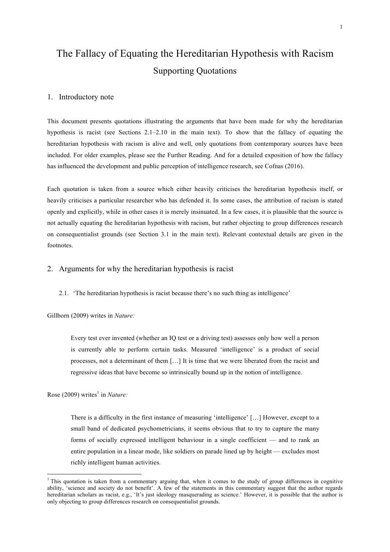# The Fallacy of Equating the Hereditarian Hypothesis with Racism Supporting Quotations

## 1. Introductory note

This document presents quotations illustrating the arguments that have been made for why the hereditarian hypothesis is racist (see Sections 2.1–2.10 in the main text). To show that the fallacy of equating the hereditarian hypothesis with racism is alive and well, only quotations from contemporary sources have been included. For older examples, please see the Further Reading. And for a detailed exposition of how the fallacy has influenced the development and public perception of intelligence research, see Cofnas (2016).

Each quotation is taken from a source which either heavily criticises the hereditarian hypothesis itself, or heavily criticises a particular researcher who has defended it. In some cases, the attribution of racism is stated openly and explicitly, while in other cases it is merely insinuated. In a few cases, it is plausible that the source is not actually equating the hereditarian hypothesis with racism, but rather objecting to group differences research on consequentialist grounds (see Section 3.1 in the main text). Relevant contextual details are given in the footnotes.

# 2. Arguments for why the hereditarian hypothesis is racist

2.1. 'The hereditarian hypothesis is racist because there's no such thing as intelligence'

Gillborn (2009) writes in *Nature:*

Every test ever invented (whether an IQ test or a driving test) assesses only how well a person is currently able to perform certain tasks. Measured 'intelligence' is a product of social processes, not a determinant of them […] It is time that we were liberated from the racist and regressive ideas that have become so intrinsically bound up in the notion of intelligence.

Rose (2009) writes<sup>1</sup> in *Nature*:

 

There is a difficulty in the first instance of measuring 'intelligence' […] However, except to a small band of dedicated psychometricians, it seems obvious that to try to capture the many forms of socially expressed intelligent behaviour in a single coefficient — and to rank an entire population in a linear mode, like soldiers on parade lined up by height — excludes most richly intelligent human activities.

<sup>&</sup>lt;sup>1</sup> This quotation is taken from a commentary arguing that, when it comes to the study of group differences in cognitive ability, 'science and society do not benefit'. A few of the statements in this commentary suggest that the author regards hereditarian scholars as racist, e.g., 'It's just ideology masquerading as science.' However, it is possible that the author is only objecting to group differences research on consequentialist grounds.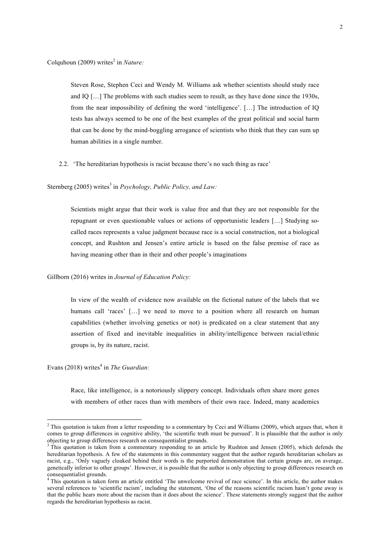Colquhoun (2009) writes<sup>2</sup> in *Nature*:

Steven Rose, Stephen Ceci and Wendy M. Williams ask whether scientists should study race and IQ […] The problems with such studies seem to result, as they have done since the 1930s, from the near impossibility of defining the word 'intelligence'. […] The introduction of IQ tests has always seemed to be one of the best examples of the great political and social harm that can be done by the mind-boggling arrogance of scientists who think that they can sum up human abilities in a single number.

- 2.2. 'The hereditarian hypothesis is racist because there's no such thing as race'
- Sternberg (2005) writes<sup>3</sup> in *Psychology, Public Policy, and Law*:

Scientists might argue that their work is value free and that they are not responsible for the repugnant or even questionable values or actions of opportunistic leaders […] Studying socalled races represents a value judgment because race is a social construction, not a biological concept, and Rushton and Jensen's entire article is based on the false premise of race as having meaning other than in their and other people's imaginations

Gillborn (2016) writes in *Journal of Education Policy:* 

In view of the wealth of evidence now available on the fictional nature of the labels that we humans call 'races' [...] we need to move to a position where all research on human capabilities (whether involving genetics or not) is predicated on a clear statement that any assertion of fixed and inevitable inequalities in ability/intelligence between racial/ethnic groups is, by its nature, racist.

Evans (2018) writes<sup>4</sup> in *The Guardian*:

 

Race, like intelligence, is a notoriously slippery concept. Individuals often share more genes with members of other races than with members of their own race. Indeed, many academics

 $2$  This quotation is taken from a letter responding to a commentary by Ceci and Williams (2009), which argues that, when it comes to group differences in cognitive ability, 'the scientific truth must be pursued'. It is plausible that the author is only objecting to group differences research on consequentialist grounds.<br><sup>3</sup> This quotation is taken from a commentary responding to an article by Rushton and Jensen (2005), which defends the

hereditarian hypothesis. A few of the statements in this commentary suggest that the author regards hereditarian scholars as racist, e.g., 'Only vaguely cloaked behind their words is the purported demonstration that certain groups are, on average, genetically inferior to other groups'. However, it is possible that the author is only objecting to group differences research on consequentialist grounds.

<sup>&</sup>lt;sup>4</sup> This quotation is taken form an article entitled 'The unwelcome revival of race science'. In this article, the author makes several references to 'scientific racism', including the statement, 'One of the reasons scientific racism hasn't gone away is that the public hears more about the racism than it does about the science'. These statements strongly suggest that the author regards the hereditarian hypothesis as racist.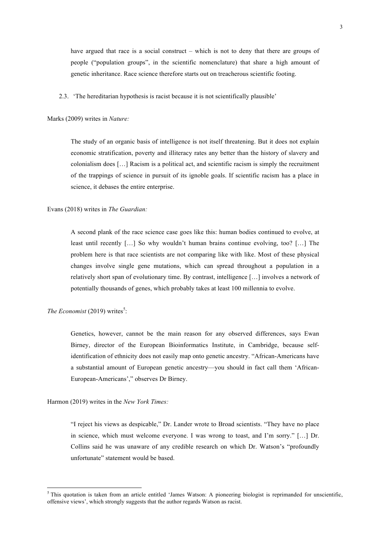have argued that race is a social construct – which is not to deny that there are groups of people ("population groups", in the scientific nomenclature) that share a high amount of genetic inheritance. Race science therefore starts out on treacherous scientific footing.

2.3. 'The hereditarian hypothesis is racist because it is not scientifically plausible'

Marks (2009) writes in *Nature:*

The study of an organic basis of intelligence is not itself threatening. But it does not explain economic stratification, poverty and illiteracy rates any better than the history of slavery and colonialism does […] Racism is a political act, and scientific racism is simply the recruitment of the trappings of science in pursuit of its ignoble goals. If scientific racism has a place in science, it debases the entire enterprise.

Evans (2018) writes in *The Guardian:* 

A second plank of the race science case goes like this: human bodies continued to evolve, at least until recently […] So why wouldn't human brains continue evolving, too? […] The problem here is that race scientists are not comparing like with like. Most of these physical changes involve single gene mutations, which can spread throughout a population in a relatively short span of evolutionary time. By contrast, intelligence […] involves a network of potentially thousands of genes, which probably takes at least 100 millennia to evolve.

The Economist  $(2019)$  writes<sup>5</sup>:

Genetics, however, cannot be the main reason for any observed differences, says Ewan Birney, director of the European Bioinformatics Institute, in Cambridge, because selfidentification of ethnicity does not easily map onto genetic ancestry. "African-Americans have a substantial amount of European genetic ancestry—you should in fact call them 'African-European-Americans'," observes Dr Birney.

Harmon (2019) writes in the *New York Times:*

 

"I reject his views as despicable," Dr. Lander wrote to Broad scientists. "They have no place in science, which must welcome everyone. I was wrong to toast, and I'm sorry." […] Dr. Collins said he was unaware of any credible research on which Dr. Watson's "profoundly unfortunate" statement would be based.

<sup>&</sup>lt;sup>5</sup> This quotation is taken from an article entitled 'James Watson: A pioneering biologist is reprimanded for unscientific, offensive views', which strongly suggests that the author regards Watson as racist.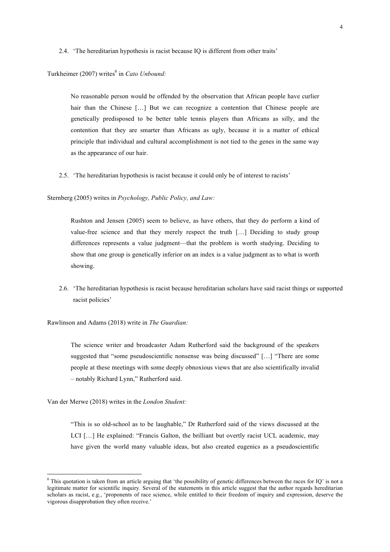2.4. 'The hereditarian hypothesis is racist because IQ is different from other traits'

Turkheimer (2007) writes<sup>6</sup> in *Cato Unbound*:

No reasonable person would be offended by the observation that African people have curlier hair than the Chinese [...] But we can recognize a contention that Chinese people are genetically predisposed to be better table tennis players than Africans as silly, and the contention that they are smarter than Africans as ugly, because it is a matter of ethical principle that individual and cultural accomplishment is not tied to the genes in the same way as the appearance of our hair.

2.5. 'The hereditarian hypothesis is racist because it could only be of interest to racists'

Sternberg (2005) writes in *Psychology, Public Policy, and Law:*

Rushton and Jensen (2005) seem to believe, as have others, that they do perform a kind of value-free science and that they merely respect the truth […] Deciding to study group differences represents a value judgment—that the problem is worth studying. Deciding to show that one group is genetically inferior on an index is a value judgment as to what is worth showing.

2.6. 'The hereditarian hypothesis is racist because hereditarian scholars have said racist things or supported racist policies'

Rawlinson and Adams (2018) write in *The Guardian:*

The science writer and broadcaster Adam Rutherford said the background of the speakers suggested that "some pseudoscientific nonsense was being discussed" […] "There are some people at these meetings with some deeply obnoxious views that are also scientifically invalid – notably Richard Lynn," Rutherford said.

Van der Merwe (2018) writes in the *London Student:*

 

"This is so old-school as to be laughable," Dr Rutherford said of the views discussed at the LCI […] He explained: "Francis Galton, the brilliant but overtly racist UCL academic, may have given the world many valuable ideas, but also created eugenics as a pseudoscientific

<sup>&</sup>lt;sup>6</sup> This quotation is taken from an article arguing that 'the possibility of genetic differences between the races for IQ' is not a legitimate matter for scientific inquiry. Several of the statements in this article suggest that the author regards hereditarian scholars as racist, e.g., 'proponents of race science, while entitled to their freedom of inquiry and expression, deserve the vigorous disapprobation they often receive.'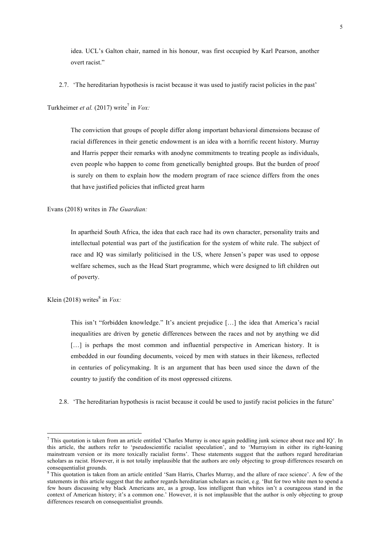idea. UCL's Galton chair, named in his honour, was first occupied by Karl Pearson, another overt racist."

2.7. 'The hereditarian hypothesis is racist because it was used to justify racist policies in the past'

Turkheimer *et al.* (2017) write<sup>7</sup> in *Vox:* 

The conviction that groups of people differ along important behavioral dimensions because of racial differences in their genetic endowment is an idea with a horrific recent history. Murray and Harris pepper their remarks with anodyne commitments to treating people as individuals, even people who happen to come from genetically benighted groups. But the burden of proof is surely on them to explain how the modern program of race science differs from the ones that have justified policies that inflicted great harm

Evans (2018) writes in *The Guardian:* 

In apartheid South Africa, the idea that each race had its own character, personality traits and intellectual potential was part of the justification for the system of white rule. The subject of race and IQ was similarly politicised in the US, where Jensen's paper was used to oppose welfare schemes, such as the Head Start programme, which were designed to lift children out of poverty.

Klein (2018) writes $8 \text{ in } Vox$ .

This isn't "forbidden knowledge." It's ancient prejudice […] the idea that America's racial inequalities are driven by genetic differences between the races and not by anything we did [...] is perhaps the most common and influential perspective in American history. It is embedded in our founding documents, voiced by men with statues in their likeness, reflected in centuries of policymaking. It is an argument that has been used since the dawn of the country to justify the condition of its most oppressed citizens.

2.8. 'The hereditarian hypothesis is racist because it could be used to justify racist policies in the future'

 $7$  This quotation is taken from an article entitled 'Charles Murray is once again peddling junk science about race and IQ'. In this article, the authors refer to 'pseudoscientific racialist speculation', and to 'Murrayism in either its right-leaning mainstream version or its more toxically racialist forms'. These statements suggest that the authors regard hereditarian scholars as racist. However, it is not totally implausible that the authors are only objecting to group differences research on consequentialist grounds.

<sup>&</sup>lt;sup>8</sup> This quotation is taken from an article entitled 'Sam Harris, Charles Murray, and the allure of race science'. A few of the statements in this article suggest that the author regards hereditarian scholars as racist, e.g. 'But for two white men to spend a few hours discussing why black Americans are, as a group, less intelligent than whites isn't a courageous stand in the context of American history; it's a common one.' However, it is not implausible that the author is only objecting to group differences research on consequentialist grounds.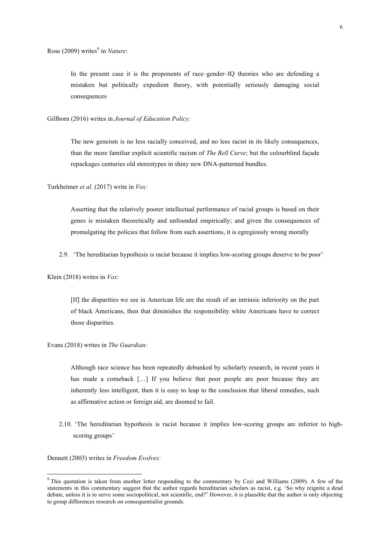In the present case it is the proponents of race–gender–IQ theories who are defending a mistaken but politically expedient theory, with potentially seriously damaging social consequences

Gillborn (2016) writes in *Journal of Education Policy:*

The new geneism is no less racially conceived, and no less racist in its likely consequences, than the more familiar explicit scientific racism of *The Bell Curve*; but the colourblind façade repackages centuries old stereotypes in shiny new DNA-patterned bundles.

Turkheimer *et al.* (2017) write in *Vox:* 

Asserting that the relatively poorer intellectual performance of racial groups is based on their genes is mistaken theoretically and unfounded empirically; and given the consequences of promulgating the policies that follow from such assertions, it is egregiously wrong morally

2.9. 'The hereditarian hypothesis is racist because it implies low-scoring groups deserve to be poor'

Klein (2018) writes in *Vox:* 

[If] the disparities we see in American life are the result of an intrinsic inferiority on the part of black Americans, then that diminishes the responsibility white Americans have to correct those disparities.

Evans (2018) writes in *The Guardian:* 

Although race science has been repeatedly debunked by scholarly research, in recent years it has made a comeback [...] If you believe that poor people are poor because they are inherently less intelligent, then it is easy to leap to the conclusion that liberal remedies, such as affirmative action or foreign aid, are doomed to fail.

2.10. 'The hereditarian hypothesis is racist because it implies low-scoring groups are inferior to highscoring groups'

Dennett (2003) writes in *Freedom Evolves:* 

 

<sup>&</sup>lt;sup>9</sup> This quotation is taken from another letter responding to the commentary by Ceci and Williams (2009). A few of the statements in this commentary suggest that the author regards hereditarian scholars as racist, e.g. 'So why reignite a dead debate, unless it is to serve some sociopolitical, not scientific, end?' However, it is plausible that the author is only objecting to group differences research on consequentialist grounds.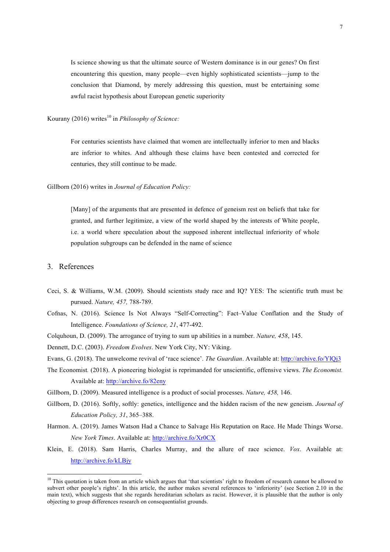Is science showing us that the ultimate source of Western dominance is in our genes? On first encountering this question, many people––even highly sophisticated scientists––jump to the conclusion that Diamond, by merely addressing this question, must be entertaining some awful racist hypothesis about European genetic superiority

Kourany (2016) writes<sup>10</sup> in *Philosophy of Science*:

For centuries scientists have claimed that women are intellectually inferior to men and blacks are inferior to whites. And although these claims have been contested and corrected for centuries, they still continue to be made.

#### Gillborn (2016) writes in *Journal of Education Policy:*

[Many] of the arguments that are presented in defence of geneism rest on beliefs that take for granted, and further legitimize, a view of the world shaped by the interests of White people, i.e. a world where speculation about the supposed inherent intellectual inferiority of whole population subgroups can be defended in the name of science

#### 3. References

 

- Ceci, S. & Williams, W.M. (2009). Should scientists study race and IQ? YES: The scientific truth must be pursued. *Nature, 457,* 788-789.
- Cofnas, N. (2016). Science Is Not Always "Self-Correcting": Fact–Value Conflation and the Study of Intelligence. *Foundations of Science, 21*, 477-492.
- Colquhoun, D. (2009). The arrogance of trying to sum up abilities in a number. *Nature, 458*, 145.
- Dennett, D.C. (2003). *Freedom Evolves*. New York City, NY: Viking.

Evans, G. (2018). The unwelcome revival of 'race science'. *The Guardian*. Available at: http://archive.fo/YlQj3

- The Economist*.* (2018). A pioneering biologist is reprimanded for unscientific, offensive views. *The Economist.* Available at: http://archive.fo/82eny
- Gillborn, D. (2009). Measured intelligence is a product of social processes. *Nature, 458,* 146.
- Gillborn, D. (2016). Softly, softly: genetics, intelligence and the hidden racism of the new geneism. *Journal of Education Policy, 31*, 365–388.
- Harmon. A. (2019). James Watson Had a Chance to Salvage His Reputation on Race. He Made Things Worse. *New York Times*. Available at: http://archive.fo/Xr0CX
- Klein, E. (2018). Sam Harris, Charles Murray, and the allure of race science. *Vox*. Available at: http://archive.fo/kLBjy

<sup>&</sup>lt;sup>10</sup> This quotation is taken from an article which argues that 'that scientists' right to freedom of research cannot be allowed to subvert other people's rights'. In this article, the author makes several references to 'inferiority' (see Section 2.10 in the main text), which suggests that she regards hereditarian scholars as racist. However, it is plausible that the author is only objecting to group differences research on consequentialist grounds.